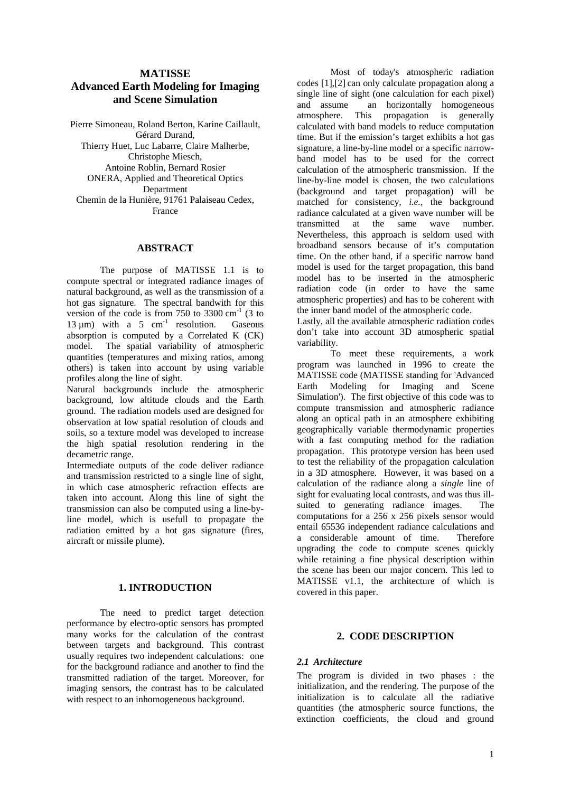# **Advanced Earth Modeling for Imaging**

The purpose of MATISSE 1.1 is to compute spectral or integrated radiance images of natural background, as well as the transmission of a hot gas signature. The spectral bandwith for this version of the code is from 750 to 3300 cm<sup>-1</sup> (3 to 13 um) with a 5 cm<sup>-1</sup> resolution. Gaseous  $13 \mu m$ ) with a 5 cm<sup>-1</sup> resolution. Gaseous Lastly, all the available atmospheric radiation codes absorption is computed by a Correlated K  $(CK)$  don't take model. The spatial variability of atmospheric quantities (temperatures and mixing ratios, among others) is taken into account by using variable profiles along the line of sight.<br>
Natural backgrounds include the atmospheric Earth Modeling

Natural backgrounds include the atmospheric background, low altitude clouds and the Earth ground. The radiation models used are designed for observation at low spatial resolution of clouds and soils, so a texture model was developed to increase the high spatial resolution rendering in the

Intermediate outputs of the code deliver radiance and transmission restricted to a single line of sight, in which case atmospheric refraction effects are taken into account. Along this line of sight the sight for evaluating local contrasts, and was thus illtransmission can also be computed using a line-byline model, which is usefull to propagate the radiation emitted by a hot gas signature (fires,<br>a considerable amount of time. Therefore aircraft or missile plume).

The need to predict target detection performance by electro-optic sensors has prompted many works for the calculation of the contrast 2. CODE DESCRIPTION between targets and background. This contrast usually requires two independent calculations: one<br>
South that had not calculate the field of the 2.1 Architecture for the background radiance and another to find the transmitted radiation of the target. Moreover, for imaging sensors, the contrast has to be calculated with respect to an inhomogeneous background.

**MATISSE** Most of today's atmospheric radiation **and Scene Simulation** and assume an horizontally homogeneous Pierre Simoneau, Roland Berton, Karine Caillault, calculated with band models to reduce computation Gérard Durand, time. But if the emission's target exhibits a hot gas Thierry Huet, Luc Labarre, Claire Malherbe, signature, a line-by-line model or a specific narrow-Christophe Miesch, band model has to be used for the correct Antoine Roblin, Bernard Rosier calculation of the atmospheric transmission. If the ONERA, Applied and Theoretical Optics line-by-line model is chosen, the two calculations Department (background and target propagation) will be Chemin de la Hunière, 91761 Palaiseau Cedex, matched for consistency, *i.e.*, the background France Trance executated at a given wave number will be radiance calculated at a given wave number will be **ABSTRACT** broadband sensors because of it's computation Most of today's atmospheric radiation codes [1],[2] can only calculate propagation along a single line of sight (one calculation for each pixel) and assume an horizontally homogeneous atmosphere. This propagation is generally transmitted at the same wave number. Nevertheless, this approach is seldom used with broadband sensors because of it's computation time. On the other hand, if a specific narrow band model is used for the target propagation, this band model has to be inserted in the atmospheric radiation code (in order to have the same atmospheric properties) and has to be coherent with the inner band model of the atmospheric code.

-1 resolution. Gaseous Lastly, all the available atmospheric radiation codes don't take into account 3D atmospheric spatial variability.

decametric range. **propagation** propagation. This prototype version has been used **1. INTRODUCTION** covered in this paper To meet these requirements, a work program was launched in 1996 to create the MATISSE code (MATISSE standing for 'Advanced for Imaging and Scene Simulation'). The first objective of this code was to compute transmission and atmospheric radiance along an optical path in an atmosphere exhibiting geographically variable thermodynamic properties with a fast computing method for the radiation to test the reliability of the propagation calculation in a 3D atmosphere. However, it was based on a calculation of the radiance along a *single* line of sight for evaluating local contrasts, and was thus illsuited to generating radiance images. computations for a 256 x 256 pixels sensor would entail 65536 independent radiance calculations and a considerable amount of time. upgrading the code to compute scenes quickly while retaining a fine physical description within the scene has been our major concern. This led to MATISSE v1.1, the architecture of which is covered in this paper.

# **2. CODE DESCRIPTION**

### *2.1 Architecture*

The program is divided in two phases : the initialization, and the rendering. The purpose of the initialization is to calculate all the radiative quantities (the atmospheric source functions, the extinction coefficients, the cloud and ground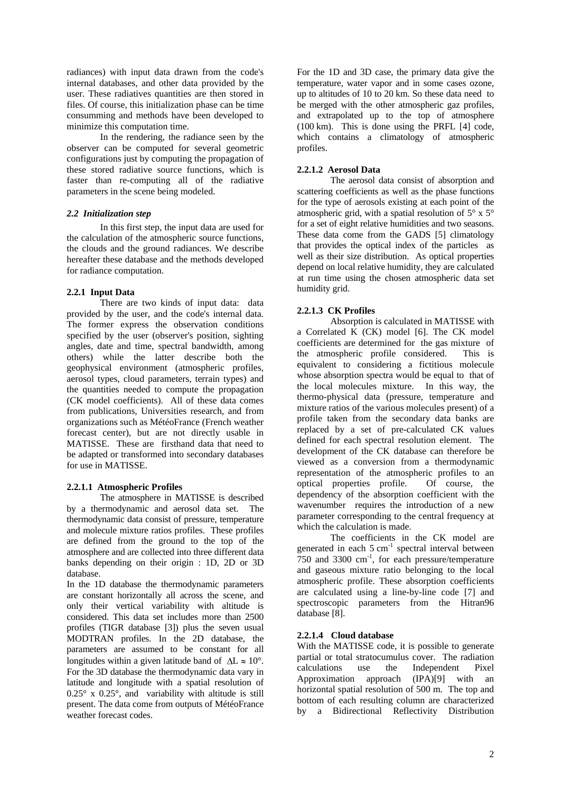files. Of course, this initialization phase can be time

observer can be computed for several geometric configurations just by computing the propagation of these stored radiative source functions, which is 2.2.1.2 Aerosol Data faster than re-computing all of the radiative parameters in the scene being modeled.

In this first step, the input data are used for the calculation of the atmospheric source functions, the clouds and the ground radiances. We describe hereafter these database and the methods developed

There are two kinds of input data: data 2.2.1.3 CK Profiles provided by the user, and the code's internal data. The former express the observation conditions specified by the user (observer's position, sighting angles, date and time, spectral bandwidth, among coefficients are determined for the gas mixture of athensive that the three three three three three three three three three three three three three three three three three t others) while the latter describe both the geophysical environment (atmospheric profiles, aerosol types, cloud parameters, terrain types) and the quantities needed to compute the propagation (CK model coefficients). All of these data comes from publications, Universities research, and from organizations such as MétéoFrance (French weather forecast center), but are not directly usable in MATISSE. These are firsthand data that need to be adapted or transformed into secondary databases

The atmosphere in MATISSE is described by a thermodynamic and aerosol data set. The thermodynamic data consist of pressure, temperature and molecule mixture ratios profiles. These profiles are defined from the ground to the top of the

In the 1D database the thermodynamic parameters are constant horizontally all across the scene, and only their vertical variability with altitude is spectroscopic<br>considered This data set includes more than 2500 database [8]. considered. This data set includes more than 2500 profiles (TIGR database [3]) plus the seven usual<br>MODTRAN profiles In the 2D database the 2.2.1.4 Cloud database MODTRAN profiles. In the 2D database, the parameters are assumed to be constant for all longitudes within a given latitude band of  $\Delta L \approx 10^{\circ}$ . Partial or total stratocumulus cover. The radiation<br>calculations use the Independent Pixel For the 3D database the thermodynamic data vary in Calculations use the Independent Pixel<br>lettrich and longitude with a control recelution of Approximation approach (IPA)[9] with an latitude and longitude with a spatial resolution of 0.25° x 0.25°, and variability with altitude is still present. The data come from outputs of MétéoFrance by a Bidirectional Reflectivity Distribution<br>weather forecast codes.

radiances) with input data drawn from the code's For the 1D and 3D case, the primary data give the internal databases, and other data provided by the temperature, water vapor and in some cases ozone, user. These radiatives quantities are then stored in up to altitudes of 10 to 20 km. So these data need to consumming and methods have been developed to and extrapolated up to the top of atmosphere minimize this computation time. (100 km). This is done using the PRFL [4] code, In the rendering, the radiance seen by the which contains a climatology of atmospheric be merged with the other atmospheric gaz profiles, profiles.

## **2.2.1.2 Aerosol Data**

parameters in the scene being modeled. Scattering coefficients as well as the phase functions **2.2 Initialization step atmospheric grid, with a spatial resolution of 5° x 5°** for radiance computation. depend on local relative humidity, they are calculated **2.2.1 Input Data** The aerosol data consist of absorption and for the type of aerosols existing at each point of the for a set of eight relative humidities and two seasons. These data come from the GADS [5] climatology that provides the optical index of the particles as well as their size distribution. As optical properties at run time using the chosen atmospheric data set humidity grid.

# **2.2.1.3 CK Profiles**

for use in MATISSE. **2.2.1.1 Atmospheric Profiles** Absorption is calculated in MATISSE with a Correlated K (CK) model [6]. The CK model coefficients are determined for the gas mixture of the atmospheric profile considered. equivalent to considering a fictitious molecule whose absorption spectra would be equal to that of the local molecules mixture. In this way, the thermo-physical data (pressure, temperature and mixture ratios of the various molecules present) of a profile taken from the secondary data banks are replaced by a set of pre-calculated CK values defined for each spectral resolution element. The development of the CK database can therefore be representation of the atmospheric profiles to an optical properties profile. Of course, the dependency of the absorption coefficient with the wavenumber requires the introduction of a new parameter corresponding to the central frequency at which the calculation is made.

atmosphere and are collected into three different data banks depending on their origin : 1D, 2D or 3D database. The coefficients in the CK model are generated in each  $5 \text{ cm}^{-1}$  spectral interval between 750 and 3300 cm -1 , for each pressure/temperature atmospheric profile. These absorption coefficients are calculated using a line-by-line code [7] and spectroscopic parameters from the Hitran96 database [8].

# **2.2.1.4 Cloud database**

With the MATISSE code, it is possible to generate partial or total stratocumulus cover. The radiation calculations use the Independent Pixel Approximation approach (IPA)[9] with an horizontal spatial resolution of 500 m. The top and bottom of each resulting column are characterized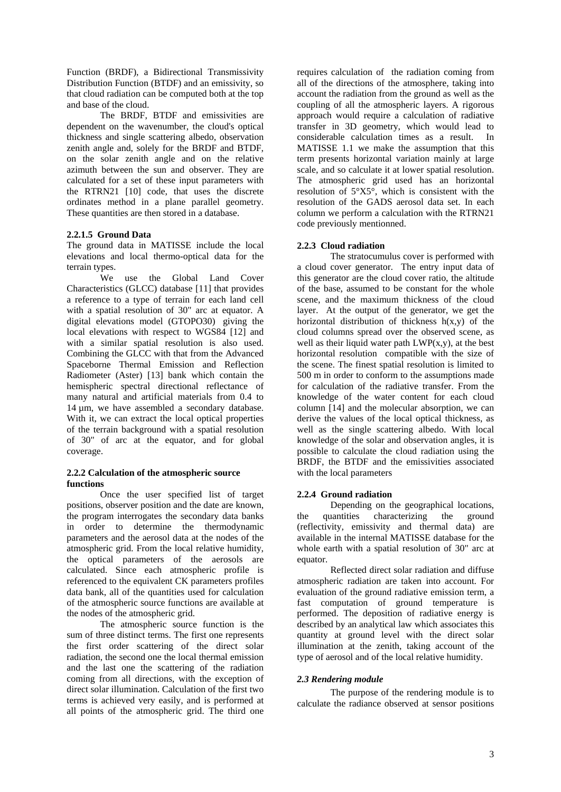thickness and single scattering albedo, observation the RTRN21 [10] code, that uses the discrete ordinates method in a plane parallel geometry.

### **2.2.1.5 Ground Data**

The ground data in MATISSE include the local 2.2.3 Cloud radiation elevations and local thermo-optical data for the

Characteristics (GLCC) database [11] that provides of the base, assumed to be constant for the whole a reference to a type of terrain for each land cell<br>with a spatial resolution of 30" arc at equator. A layer. At the output of the generator, we get the with a spatial resolution of 30" arc at equator. A layer. At the output of the generator, we get the digital elevations model (GTOPO30) giving the horizontal distribution of thickness h(x,y) of the local elevations with respect to WGS84 [12] and cloud columns spread over the observed scene, as with a similar spatial resolution is also used. well as their liquid water path  $LWP(x,y)$ , at the best Combining the GLCC with that from the Advanced horizontal resolution compatible with the size of Spaceborne Thermal Emission and Reflection Radiometer (Aster) [13] bank which contain the 500 m in order to conform to the assumptions made hemispheric spectral directional reflectance of for calculation of the radiative transfer. From the many natural and artificial materials from 0.4 to knowledge of the water content for each cloud  $14 \mu m$ , we have assembled a secondary database. column [14] and the molecular absorption, we can With it, we can extract the local optical properties derive the values of the local optical thickness, as of the terrain background with a spatial resolution well as the single scattering albedo. With local of 30" of arc at the equator, and for global knowledge of the solar and observation angles, it is

### **2.2.2 Calculation of the atmospheric source** with the local parameters **functions**

Once the user specified list of target 2.2.4 Ground radiation positions, observer position and the date are known, the program interrogates the secondary data banks<br>in order to determine the thermodynamic (reflectivity, emissivity and thermal data) are in order to determine the thermodynamic (reflectivity, emissivity and thermal data) are parameters and the aerosol data at the nodes of the available in the internal MATISSE database for the atmospheric grid. From the local relative humidity, whole earth with a spatial resolution of 30" arc at the optical parameters of the aerosols are calculated. Since each atmospheric profile is referenced to the equivalent CK parameters profiles

radiation, the second one the local thermal emission type of aerosol and of the local relative humidity. and the last one the scattering of the radiation coming from all directions, with the exception of 2.3 Rendering module direct solar illumination. Calculation of the first two terms is achieved very easily, and is performed at all points of the atmospheric grid. The third one

Function (BRDF), a Bidirectional Transmissivity requires calculation of the radiation coming from Distribution Function (BTDF) and an emissivity, so all of the directions of the atmosphere, taking into that cloud radiation can be computed both at the top account the radiation from the ground as well as the and base of the cloud. coupling of all the atmospheric layers. A rigorous The BRDF, BTDF and emissivities are approach would require a calculation of radiative dependent on the wavenumber, the cloud's optical transfer in 3D geometry, which would lead to zenith angle and, solely for the BRDF and BTDF, MATISSE 1.1 we make the assumption that this on the solar zenith angle and on the relative term presents horizontal variation mainly at large azimuth between the sun and observer. They are scale, and so calculate it at lower spatial resolution. calculated for a set of these input parameters with The atmospheric grid used has an horizontal These quantities are then stored in a database. column we perform a calculation with the RTRN21 considerable calculation times as a result. resolution of  $5^\circ X5^\circ$ , which is consistent with the resolution of the GADS aerosol data set. In each code previously mentionned.

### **2.2.3 Cloud radiation**

terrain types. a cloud cover generator. The entry input data of We use the Global Land Cover this generator are the cloud cover ratio, the altitude coverage. possible to calculate the cloud radiation using the The stratocumulus cover is performed with scene, and the maximum thickness of the cloud the scene. The finest spatial resolution is limited to 500 m in order to conform to the assumptions made for calculation of the radiative transfer. From the BRDF, the BTDF and the emissivities associated with the local parameters with the local parameters

### **2.2.4 Ground radiation**

Depending on the geographical locations, the quantities characterizing the ground equator.

data bank, all of the quantities used for calculation evaluation of the ground radiative emission term, a of the atmospheric source functions are available at fast computation of ground temperature is the nodes of the atmospheric grid. performed. The deposition of radiative energy is The atmospheric source function is the described by an analytical law which associates this sum of three distinct terms. The first one represents quantity at ground level with the direct solar the first order scattering of the direct solar illumination at the zenith, taking account of the Reflected direct solar radiation and diffuse atmospheric radiation are taken into account. For

### *2.3 Rendering module*

The purpose of the rendering module is to calculate the radiance observed at sensor positions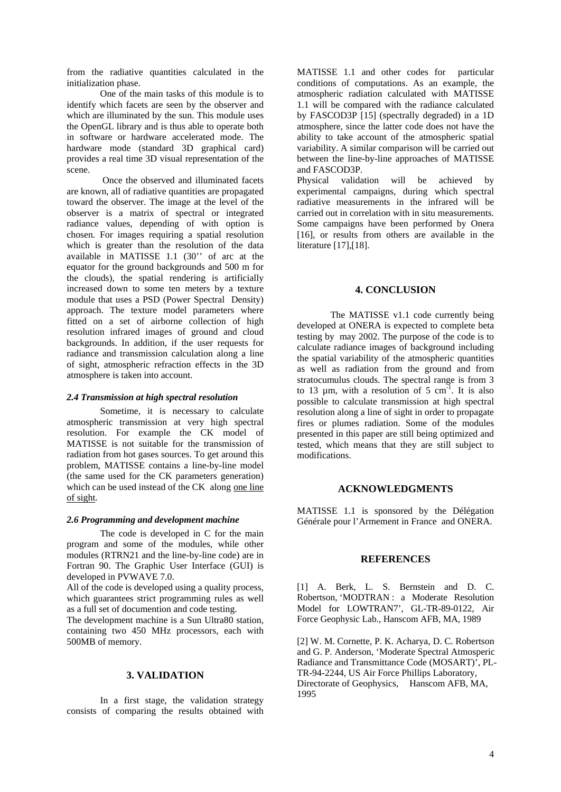identify which facets are seen by the observer and 1.1 will be compared with theradiance calculated which are illuminated by the sun. This module uses by FASCOD3P [15] (spectrally degraded) in a 1D the OpenGL library and is thus able to operate both atmosphere, since the latter code does not have the in software or hardware accelerated mode. The ability to take account of the atmospheric spatial hardware mode (standard 3D graphical card) variability. A similar comparison will be carried out provides a real time 3D visual representation of the between the line-by-line approaches of MATISSE

are known, all of radiative quantities are propagated experimental campaigns, during which spectral toward the observer. The image at the level of the radiative measurements in the infrared will be observer is a matrix of spectral or integrated radiance values, depending of with option is radiance values, depending of with option is Some campaigns have been performed by Onera chosen. For images requiring a spatial resolution [16], or results from others are available in the which is greater than the resolution of the data available in MATISSE 1.1 (30'' of arc at the equator for the ground backgrounds and 500 m for the clouds), the spatial rendering is artificially increased down to some ten meters by a texture **4. CONCLUSION** module that uses a PSD (Power Spectral Density) approach. The texture model parameters where fitted on a set of airborne collection of high resolution infrared images of ground and cloud backgrounds. In addition, if the user requests for radiance and transmission calculation along a line of sight, atmospheric refraction effects in the  $\frac{3D}{28}$  well as radiation from the ground and from

#### *2.4 Transmission at high spectral resolution*

atmospheric transmission at very high spectral fires or plumes radiation. Some of the modules resolution. For example the CK model of presented in this paper are still being optimized and MATISSE is not suitable for the transmission of tested, which means that they are still subject to radiation from hot gases sources. To get around this modifications. problem, MATISSE contains a line-by-line model (the same used for the CK parameters generation) which can be used instead of the CK along <u>one line</u><br>ACKNOWLEDGMENTS of sight.

The code is developed in C for the main program and some of the modules, while other modules (RTRN21 and the line-by-line code) are in **REFERENCES** Fortran 90. The Graphic User Interface (GUI) is developed in PVWAVE 7.0.<br>All of the code is developed using a quality process,

which guarantees strict programming rules as well

The development machine is a Sun Ultra80 station, containing two 450 MHz processors, each with

In a first stage, the validation strategy consists of comparing the results obtained with

from the radiative quantities calculated in the MATISSE 1.1 and other codes for particular initialization phase. conditions of computations. As an example, the One of the main tasks of this module is to atmospheric radiation calculated with MATISSE scene. and FASCOD3P. and FASCOD3P.

Once the observed and illuminated facets Physical validation will be achieved by carried out in correlation with in situ measurements. literature [17],[18].

### **4. CONCLUSION**

atmosphere is taken into account.<br>
stratocumulus clouds. The spectral range is from 3 Sometime, it is necessary to calculate resolution along a line of sight in order to propagate The MATISSE v1.1 code currently being developed at ONERA is expected to complete beta testing by may 2002. The purpose of the code is to calculate radiance images of background including the spatial variability of the atmospheric quantities as well as radiation from the ground and from to 13  $\mu$ m, with a resolution of 5 cm<sup>-1</sup>. It is also  $^{-1}$  It is also . It is also possible to calculate transmission at high spectral modifications.

### **ACKNOWLEDGMENTS**

*2.6 Programming and development machine* Générale pour l'Armement in France and ONERA. MATISSE 1.1 is sponsored by the Délégation

### **REFERENCES**

All of the code is developed using a quality process, [1] A. Berk, L. S. Bernstein and D. C. as a full set of documention and code testing. Model for LOWTRAN7', GL-TR-89-0122, Air Robertson, 'MODTRAN : a Moderate Resolution Force Geophysic Lab., Hanscom AFB, MA, 1989

500MB of memory. [2] W. M. Cornette, P. K. Acharya, D. C. Robertson **3. VALIDATION** TR-94-2244, US Air Force Phillips Laboratory, and G. P. Anderson, 'Moderate Spectral Atmosperic Radiance and Transmittance Code (MOSART)', PL-TR-94-2244, US Air Force Phillips Laboratory, Directorate of Geophysics, Hanscom AFB, MA, 1995